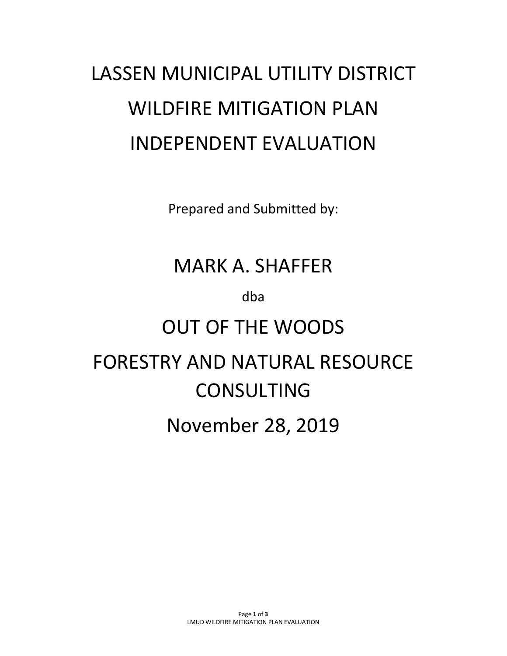# LASSEN MUNICIPAL UTILITY DISTRICT WILDFIRE MITIGATION PLAN INDEPENDENT EVALUATION

Prepared and Submitted by:

# MARK A. SHAFFER

dba

# OUT OF THE WOODS

# FORESTRY AND NATURAL RESOURCE CONSULTING

# November 28, 2019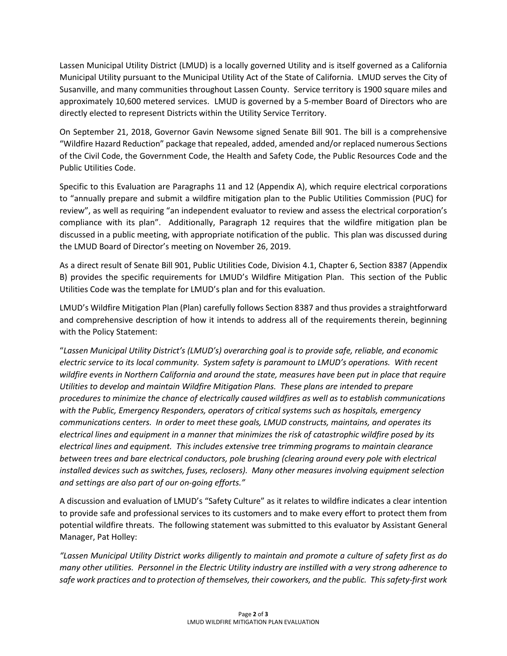Lassen Municipal Utility District (LMUD) is a locally governed Utility and is itself governed as a California Municipal Utility pursuant to the Municipal Utility Act of the State of California. LMUD serves the City of Susanville, and many communities throughout Lassen County. Service territory is 1900 square miles and approximately 10,600 metered services. LMUD is governed by a 5-member Board of Directors who are directly elected to represent Districts within the Utility Service Territory.

On September 21, 2018, Governor Gavin Newsome signed Senate Bill 901. The bill is a comprehensive "Wildfire Hazard Reduction" package that repealed, added, amended and/or replaced numerous Sections of the Civil Code, the Government Code, the Health and Safety Code, the Public Resources Code and the Public Utilities Code.

Specific to this Evaluation are Paragraphs 11 and 12 (Appendix A), which require electrical corporations to "annually prepare and submit a wildfire mitigation plan to the Public Utilities Commission (PUC) for review", as well as requiring "an independent evaluator to review and assess the electrical corporation's compliance with its plan". Additionally, Paragraph 12 requires that the wildfire mitigation plan be discussed in a public meeting, with appropriate notification of the public. This plan was discussed during the LMUD Board of Director's meeting on November 26, 2019.

As a direct result of Senate Bill 901, Public Utilities Code, Division 4.1, Chapter 6, Section 8387 (Appendix B) provides the specific requirements for LMUD's Wildfire Mitigation Plan. This section of the Public Utilities Code was the template for LMUD's plan and for this evaluation.

LMUD's Wildfire Mitigation Plan (Plan) carefully follows Section 8387 and thus provides a straightforward and comprehensive description of how it intends to address all of the requirements therein, beginning with the Policy Statement:

"*Lassen Municipal Utility District's (LMUD's) overarching goal is to provide safe, reliable, and economic electric service to its local community. System safety is paramount to LMUD's operations. With recent wildfire events in Northern California and around the state, measures have been put in place that require Utilities to develop and maintain Wildfire Mitigation Plans. These plans are intended to prepare procedures to minimize the chance of electrically caused wildfires as well as to establish communications with the Public, Emergency Responders, operators of critical systems such as hospitals, emergency communications centers. In order to meet these goals, LMUD constructs, maintains, and operates its electrical lines and equipment in a manner that minimizes the risk of catastrophic wildfire posed by its electrical lines and equipment. This includes extensive tree trimming programs to maintain clearance between trees and bare electrical conductors, pole brushing (clearing around every pole with electrical installed devices such as switches, fuses, reclosers). Many other measures involving equipment selection and settings are also part of our on-going efforts."*

A discussion and evaluation of LMUD's "Safety Culture" as it relates to wildfire indicates a clear intention to provide safe and professional services to its customers and to make every effort to protect them from potential wildfire threats. The following statement was submitted to this evaluator by Assistant General Manager, Pat Holley:

*"Lassen Municipal Utility District works diligently to maintain and promote a culture of safety first as do many other utilities. Personnel in the Electric Utility industry are instilled with a very strong adherence to safe work practices and to protection of themselves, their coworkers, and the public. This safety-first work*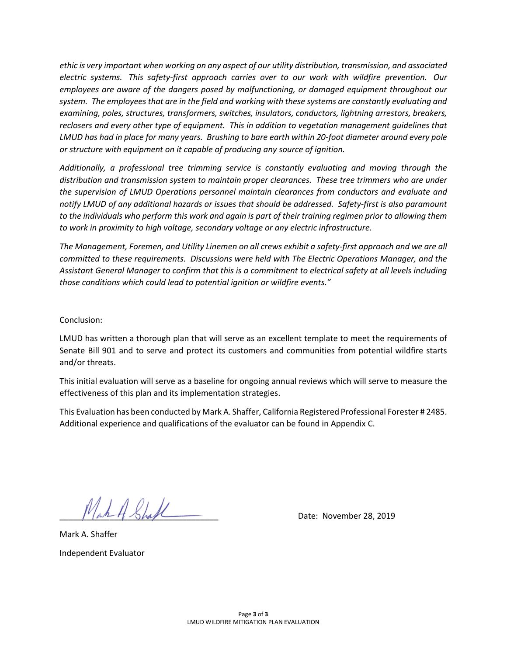*ethic is very important when working on any aspect of our utility distribution, transmission, and associated electric systems. This safety-first approach carries over to our work with wildfire prevention. Our employees are aware of the dangers posed by malfunctioning, or damaged equipment throughout our system. The employees that are in the field and working with these systems are constantly evaluating and examining, poles, structures, transformers, switches, insulators, conductors, lightning arrestors, breakers, reclosers and every other type of equipment. This in addition to vegetation management guidelines that LMUD has had in place for many years. Brushing to bare earth within 20-foot diameter around every pole or structure with equipment on it capable of producing any source of ignition.* 

*Additionally, a professional tree trimming service is constantly evaluating and moving through the distribution and transmission system to maintain proper clearances. These tree trimmers who are under the supervision of LMUD Operations personnel maintain clearances from conductors and evaluate and notify LMUD of any additional hazards or issues that should be addressed. Safety-first is also paramount to the individuals who perform this work and again is part of their training regimen prior to allowing them to work in proximity to high voltage, secondary voltage or any electric infrastructure.*

*The Management, Foremen, and Utility Linemen on all crews exhibit a safety-first approach and we are all committed to these requirements. Discussions were held with The Electric Operations Manager, and the Assistant General Manager to confirm that this is a commitment to electrical safety at all levels including those conditions which could lead to potential ignition or wildfire events."* 

Conclusion:

LMUD has written a thorough plan that will serve as an excellent template to meet the requirements of Senate Bill 901 and to serve and protect its customers and communities from potential wildfire starts and/or threats.

This initial evaluation will serve as a baseline for ongoing annual reviews which will serve to measure the effectiveness of this plan and its implementation strategies.

This Evaluation has been conducted by Mark A. Shaffer, California Registered Professional Forester # 2485. Additional experience and qualifications of the evaluator can be found in Appendix C.

 $\n *Math-4 Sha l*\n *On l*\n *On l*\n *On l*\n *On l*\n *On l*\n *On l*\n *On l*\n *On l*\n *On l*\n *On l*\n *On l*\n *On l*\n$ 

Mark A. Shaffer Independent Evaluator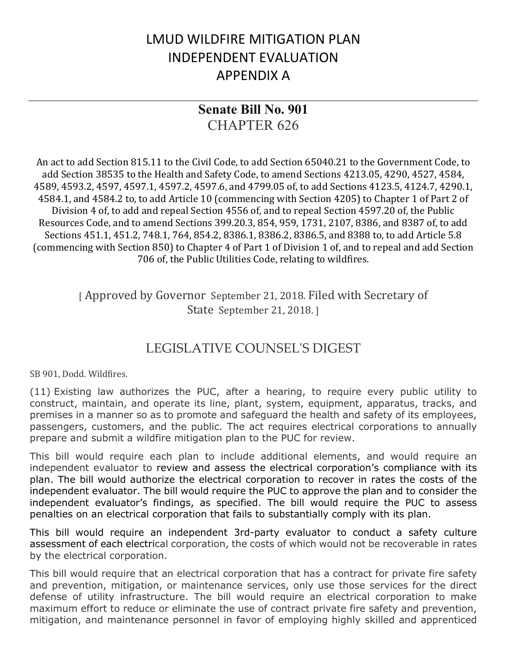## LMUD WILDFIRE MITIGATION PLAN INDEPENDENT EVALUATION APPENDIX A

### **Senate Bill No. 901** CHAPTER 626

An act to add Section 815.11 to the Civil Code, to add Section 65040.21 to the Government Code, to add Section 38535 to the Health and Safety Code, to amend Sections 4213.05, 4290, 4527, 4584, 4589, 4593.2, 4597, 4597.1, 4597.2, 4597.6, and 4799.05 of, to add Sections 4123.5, 4124.7, 4290.1, 4584.1, and 4584.2 to, to add Article 10 (commencing with Section 4205) to Chapter 1 of Part 2 of Division 4 of, to add and repeal Section 4556 of, and to repeal Section 4597.20 of, the Public Resources Code, and to amend Sections 399.20.3, 854, 959, 1731, 2107, 8386, and 8387 of, to add Sections 451.1, 451.2, 748.1, 764, 854.2, 8386.1, 8386.2, 8386.5, and 8388 to, to add Article 5.8 (commencing with Section 850) to Chapter 4 of Part 1 of Division 1 of, and to repeal and add Section 706 of, the Public Utilities Code, relating to wildfires.

> [ Approved by Governor September 21, 2018. Filed with Secretary of State September 21, 2018. ]

### LEGISLATIVE COUNSEL'S DIGEST

SB 901, Dodd. Wildfires.

(11) Existing law authorizes the PUC, after a hearing, to require every public utility to construct, maintain, and operate its line, plant, system, equipment, apparatus, tracks, and premises in a manner so as to promote and safeguard the health and safety of its employees, passengers, customers, and the public. The act requires electrical corporations to annually prepare and submit a wildfire mitigation plan to the PUC for review.

This bill would require each plan to include additional elements, and would require an independent evaluator to review and assess the electrical corporation's compliance with its plan. The bill would authorize the electrical corporation to recover in rates the costs of the independent evaluator. The bill would require the PUC to approve the plan and to consider the independent evaluator's findings, as specified. The bill would require the PUC to assess penalties on an electrical corporation that fails to substantially comply with its plan.

This bill would require an independent 3rd-party evaluator to conduct a safety culture assessment of each electrical corporation, the costs of which would not be recoverable in rates by the electrical corporation.

This bill would require that an electrical corporation that has a contract for private fire safety and prevention, mitigation, or maintenance services, only use those services for the direct defense of utility infrastructure. The bill would require an electrical corporation to make maximum effort to reduce or eliminate the use of contract private fire safety and prevention, mitigation, and maintenance personnel in favor of employing highly skilled and apprenticed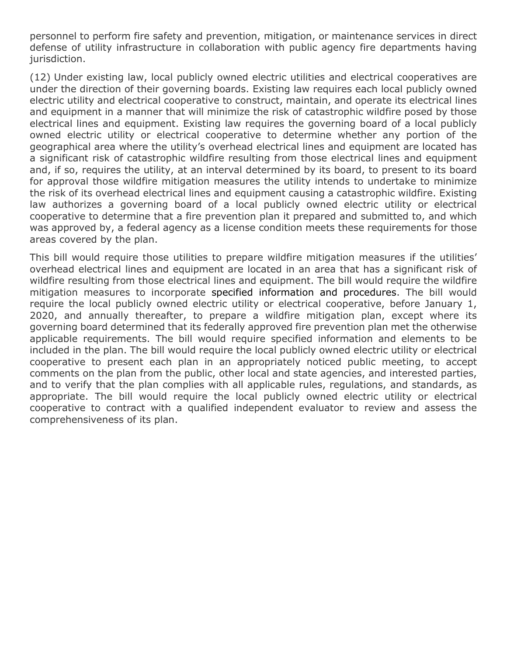personnel to perform fire safety and prevention, mitigation, or maintenance services in direct defense of utility infrastructure in collaboration with public agency fire departments having jurisdiction.

(12) Under existing law, local publicly owned electric utilities and electrical cooperatives are under the direction of their governing boards. Existing law requires each local publicly owned electric utility and electrical cooperative to construct, maintain, and operate its electrical lines and equipment in a manner that will minimize the risk of catastrophic wildfire posed by those electrical lines and equipment. Existing law requires the governing board of a local publicly owned electric utility or electrical cooperative to determine whether any portion of the geographical area where the utility's overhead electrical lines and equipment are located has a significant risk of catastrophic wildfire resulting from those electrical lines and equipment and, if so, requires the utility, at an interval determined by its board, to present to its board for approval those wildfire mitigation measures the utility intends to undertake to minimize the risk of its overhead electrical lines and equipment causing a catastrophic wildfire. Existing law authorizes a governing board of a local publicly owned electric utility or electrical cooperative to determine that a fire prevention plan it prepared and submitted to, and which was approved by, a federal agency as a license condition meets these requirements for those areas covered by the plan.

This bill would require those utilities to prepare wildfire mitigation measures if the utilities' overhead electrical lines and equipment are located in an area that has a significant risk of wildfire resulting from those electrical lines and equipment. The bill would require the wildfire mitigation measures to incorporate specified information and procedures. The bill would require the local publicly owned electric utility or electrical cooperative, before January 1, 2020, and annually thereafter, to prepare a wildfire mitigation plan, except where its governing board determined that its federally approved fire prevention plan met the otherwise applicable requirements. The bill would require specified information and elements to be included in the plan. The bill would require the local publicly owned electric utility or electrical cooperative to present each plan in an appropriately noticed public meeting, to accept comments on the plan from the public, other local and state agencies, and interested parties, and to verify that the plan complies with all applicable rules, regulations, and standards, as appropriate. The bill would require the local publicly owned electric utility or electrical cooperative to contract with a qualified independent evaluator to review and assess the comprehensiveness of its plan.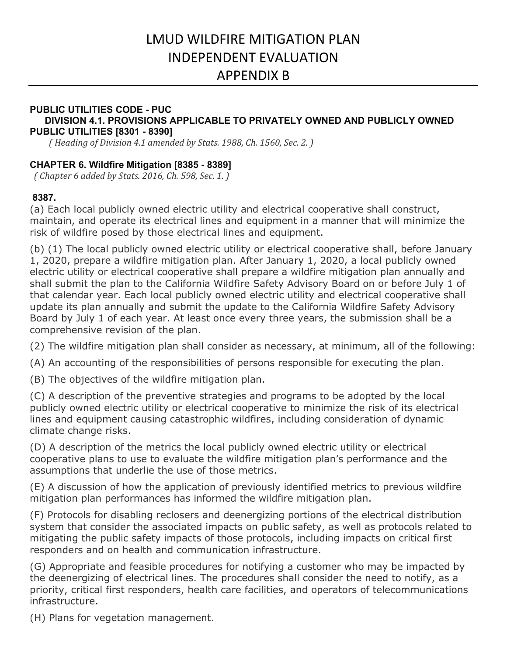## LMUD WILDFIRE MITIGATION PLAN INDEPENDENT EVALUATION APPENDIX B

#### **PUBLIC UTILITIES CODE - PUC DIVISION 4.1. PROVISIONS APPLICABLE TO PRIVATELY OWNED AND PUBLICLY OWNED PUBLIC UTILITIES [8301 - 8390]**

 *( Heading of Division 4.1 amended by Stats. 1988, Ch. 1560, Sec. 2. )*

#### **CHAPTER 6. Wildfire Mitigation [8385 - 8389]**

 *( Chapter 6 added by Stats. 2016, Ch. 598, Sec. 1. )*

#### **8387.**

(a) Each local publicly owned electric utility and electrical cooperative shall construct, maintain, and operate its electrical lines and equipment in a manner that will minimize the risk of wildfire posed by those electrical lines and equipment.

(b) (1) The local publicly owned electric utility or electrical cooperative shall, before January 1, 2020, prepare a wildfire mitigation plan. After January 1, 2020, a local publicly owned electric utility or electrical cooperative shall prepare a wildfire mitigation plan annually and shall submit the plan to the California Wildfire Safety Advisory Board on or before July 1 of that calendar year. Each local publicly owned electric utility and electrical cooperative shall update its plan annually and submit the update to the California Wildfire Safety Advisory Board by July 1 of each year. At least once every three years, the submission shall be a comprehensive revision of the plan.

(2) The wildfire mitigation plan shall consider as necessary, at minimum, all of the following:

(A) An accounting of the responsibilities of persons responsible for executing the plan.

(B) The objectives of the wildfire mitigation plan.

(C) A description of the preventive strategies and programs to be adopted by the local publicly owned electric utility or electrical cooperative to minimize the risk of its electrical lines and equipment causing catastrophic wildfires, including consideration of dynamic climate change risks.

(D) A description of the metrics the local publicly owned electric utility or electrical cooperative plans to use to evaluate the wildfire mitigation plan's performance and the assumptions that underlie the use of those metrics.

(E) A discussion of how the application of previously identified metrics to previous wildfire mitigation plan performances has informed the wildfire mitigation plan.

(F) Protocols for disabling reclosers and deenergizing portions of the electrical distribution system that consider the associated impacts on public safety, as well as protocols related to mitigating the public safety impacts of those protocols, including impacts on critical first responders and on health and communication infrastructure.

(G) Appropriate and feasible procedures for notifying a customer who may be impacted by the deenergizing of electrical lines. The procedures shall consider the need to notify, as a priority, critical first responders, health care facilities, and operators of telecommunications infrastructure.

(H) Plans for vegetation management.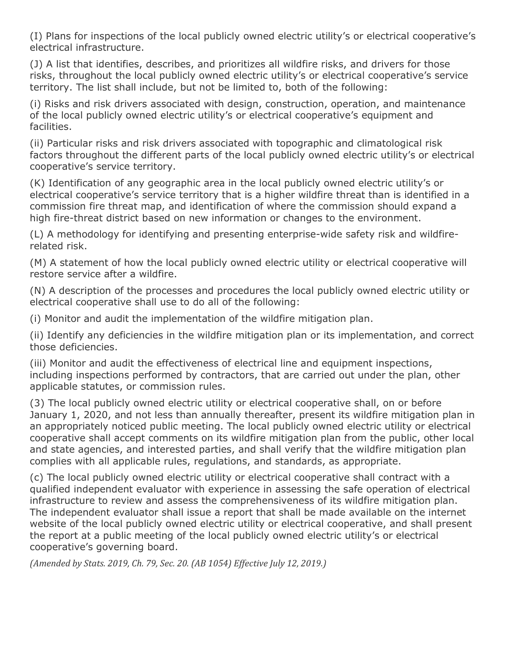(I) Plans for inspections of the local publicly owned electric utility's or electrical cooperative's electrical infrastructure.

(J) A list that identifies, describes, and prioritizes all wildfire risks, and drivers for those risks, throughout the local publicly owned electric utility's or electrical cooperative's service territory. The list shall include, but not be limited to, both of the following:

(i) Risks and risk drivers associated with design, construction, operation, and maintenance of the local publicly owned electric utility's or electrical cooperative's equipment and facilities.

(ii) Particular risks and risk drivers associated with topographic and climatological risk factors throughout the different parts of the local publicly owned electric utility's or electrical cooperative's service territory.

(K) Identification of any geographic area in the local publicly owned electric utility's or electrical cooperative's service territory that is a higher wildfire threat than is identified in a commission fire threat map, and identification of where the commission should expand a high fire-threat district based on new information or changes to the environment.

(L) A methodology for identifying and presenting enterprise-wide safety risk and wildfirerelated risk.

(M) A statement of how the local publicly owned electric utility or electrical cooperative will restore service after a wildfire.

(N) A description of the processes and procedures the local publicly owned electric utility or electrical cooperative shall use to do all of the following:

(i) Monitor and audit the implementation of the wildfire mitigation plan.

(ii) Identify any deficiencies in the wildfire mitigation plan or its implementation, and correct those deficiencies.

(iii) Monitor and audit the effectiveness of electrical line and equipment inspections, including inspections performed by contractors, that are carried out under the plan, other applicable statutes, or commission rules.

(3) The local publicly owned electric utility or electrical cooperative shall, on or before January 1, 2020, and not less than annually thereafter, present its wildfire mitigation plan in an appropriately noticed public meeting. The local publicly owned electric utility or electrical cooperative shall accept comments on its wildfire mitigation plan from the public, other local and state agencies, and interested parties, and shall verify that the wildfire mitigation plan complies with all applicable rules, regulations, and standards, as appropriate.

(c) The local publicly owned electric utility or electrical cooperative shall contract with a qualified independent evaluator with experience in assessing the safe operation of electrical infrastructure to review and assess the comprehensiveness of its wildfire mitigation plan. The independent evaluator shall issue a report that shall be made available on the internet website of the local publicly owned electric utility or electrical cooperative, and shall present the report at a public meeting of the local publicly owned electric utility's or electrical cooperative's governing board.

*(Amended by Stats. 2019, Ch. 79, Sec. 20. (AB 1054) Effective July 12, 2019.)*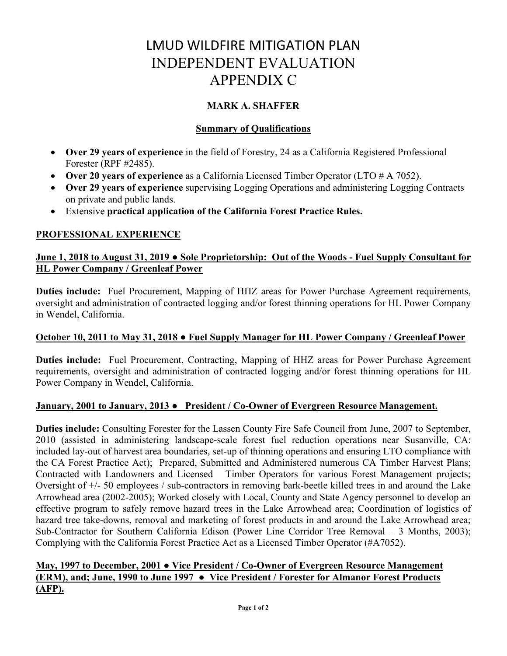## LMUD WILDFIRE MITIGATION PLAN INDEPENDENT EVALUATION APPENDIX C

#### **MARK A. SHAFFER**

#### **Summary of Qualifications**

- **Over 29 years of experience** in the field of Forestry, 24 as a California Registered Professional Forester (RPF #2485).
- **Over 20 years of experience** as a California Licensed Timber Operator (LTO # A 7052).
- **Over 29 years of experience** supervising Logging Operations and administering Logging Contracts on private and public lands.
- Extensive **practical application of the California Forest Practice Rules.**

#### **PROFESSIONAL EXPERIENCE**

#### **June 1, 2018 to August 31, 2019 ● Sole Proprietorship: Out of the Woods - Fuel Supply Consultant for HL Power Company / Greenleaf Power**

**Duties include:** Fuel Procurement, Mapping of HHZ areas for Power Purchase Agreement requirements, oversight and administration of contracted logging and/or forest thinning operations for HL Power Company in Wendel, California.

#### **October 10, 2011 to May 31, 2018 ● Fuel Supply Manager for HL Power Company / Greenleaf Power**

**Duties include:** Fuel Procurement, Contracting, Mapping of HHZ areas for Power Purchase Agreement requirements, oversight and administration of contracted logging and/or forest thinning operations for HL Power Company in Wendel, California.

#### **January, 2001 to January, 2013 ● President / Co-Owner of Evergreen Resource Management.**

**Duties include:** Consulting Forester for the Lassen County Fire Safe Council from June, 2007 to September, 2010 (assisted in administering landscape-scale forest fuel reduction operations near Susanville, CA: included lay-out of harvest area boundaries, set-up of thinning operations and ensuring LTO compliance with the CA Forest Practice Act); Prepared, Submitted and Administered numerous CA Timber Harvest Plans; Contracted with Landowners and Licensed Timber Operators for various Forest Management projects; Oversight of +/- 50 employees / sub-contractors in removing bark-beetle killed trees in and around the Lake Arrowhead area (2002-2005); Worked closely with Local, County and State Agency personnel to develop an effective program to safely remove hazard trees in the Lake Arrowhead area; Coordination of logistics of hazard tree take-downs, removal and marketing of forest products in and around the Lake Arrowhead area; Sub-Contractor for Southern California Edison (Power Line Corridor Tree Removal – 3 Months, 2003); Complying with the California Forest Practice Act as a Licensed Timber Operator (#A7052).

#### **May, 1997 to December, 2001 ● Vice President / Co-Owner of Evergreen Resource Management (ERM), and; June, 1990 to June 1997 ● Vice President / Forester for Almanor Forest Products (AFP).**